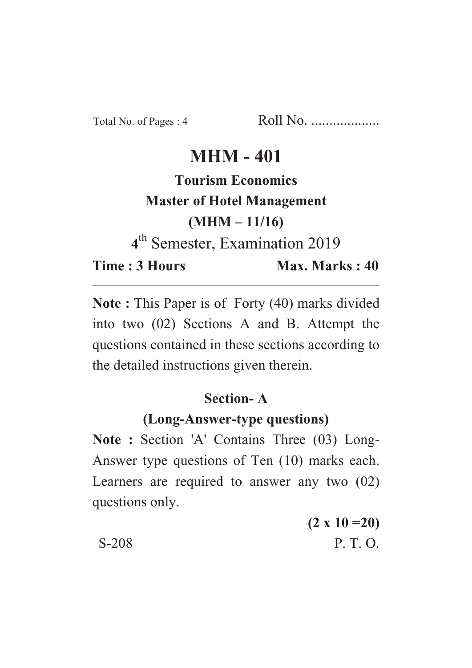Total No. of Pages : 4 Roll No. ...................

## **MHM - 401**

# **Tourism Economics Master of Hotel Management**  $(MHM - 11/16)$

<sup>th</sup> Semester, Examination 2019

**Time: 3 Hours Time : 3 Hours Max. Marks : 40**

Max. Marks: 40

**Note :** This Paper is of Forty (40) marks divided into two (02) Sections A and B. Attempt the questions contained in these sections according to the detailed instructions given therein.

#### **Section-A**

#### (Long-Answer-type questions)

**(Long-Answer-type questions) Note : Section 'A' Contains Three (03) Long-**Answer type questions of Ten (10) marks each. Learners are required to answer any two (02) questions only.

**(2 x 10 =20)** S-208 P. T. O.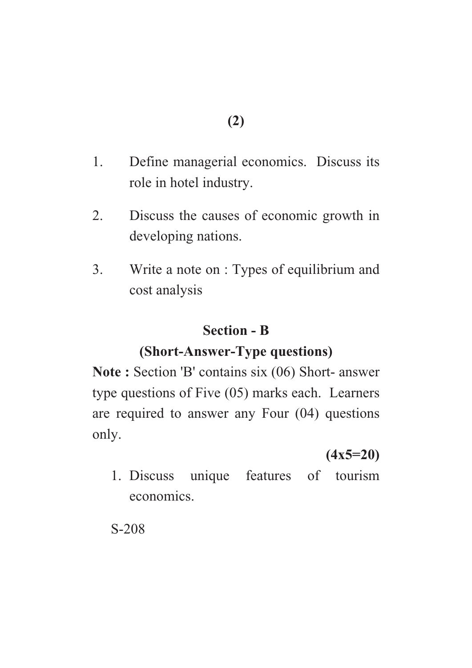- 1. Define managerial economics. Discuss its role in hotel industry.
- 2. Discuss the causes of economic growth in developing nations.
- 3. Write a note on : Types of equilibrium and cost analysis

#### **Section - B**

#### **(Short-Answer-Type questions)**

**(Short-Answer-Type questions) Note : Section 'B' contains six (06) Short- answer** type questions of Five (05) marks each. Learners are required to answer any Four (04) questions only.

**(4x5=20)** 1. Discuss unique features of tourism economics.

S-208